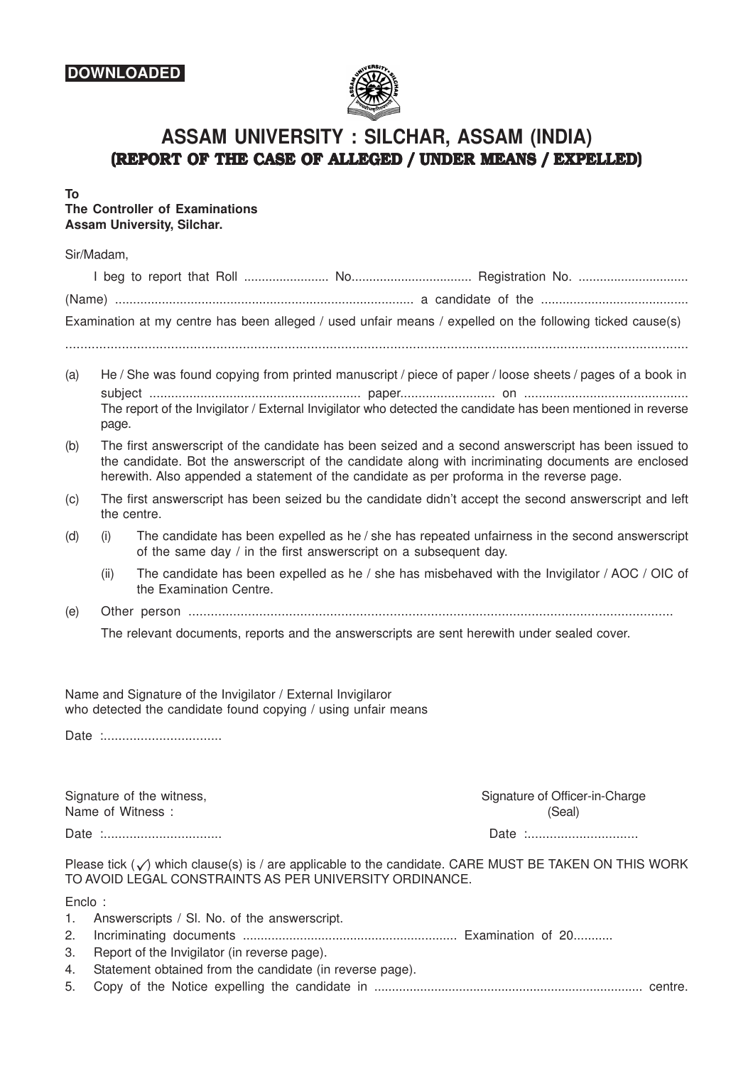## **DOWNLOADED**



# **ASSAM UNIVERSITY : SILCHAR, ASSAM (INDIA) (REPORT OF THE CASE OF ALLEGED / UNDER MEANS / EXPELLED)**

**To**

#### **The Controller of Examinations Assam University, Silchar.**

#### Sir/Madam,

|     |       | Examination at my centre has been alleged / used unfair means / expelled on the following ticked cause(s)                                                                                                                                                                                                 |  |
|-----|-------|-----------------------------------------------------------------------------------------------------------------------------------------------------------------------------------------------------------------------------------------------------------------------------------------------------------|--|
| (a) | page. | He / She was found copying from printed manuscript / piece of paper / loose sheets / pages of a book in<br>The report of the Invigilator / External Invigilator who detected the candidate has been mentioned in reverse                                                                                  |  |
| (b) |       | The first answerscript of the candidate has been seized and a second answerscript has been issued to<br>the candidate. Bot the answerscript of the candidate along with incriminating documents are enclosed<br>herewith. Also appended a statement of the candidate as per proforma in the reverse page. |  |

- (c) The first answerscript has been seized bu the candidate didn't accept the second answerscript and left the centre.
- (d) (i) The candidate has been expelled as he  $/$  she has repeated unfairness in the second answerscript of the same day / in the first answerscript on a subsequent day.
	- (ii) The candidate has been expelled as he / she has misbehaved with the Invigilator / AOC / OIC of the Examination Centre.
- (e) Other person ..................................................................................................................................

The relevant documents, reports and the answerscripts are sent herewith under sealed cover.

Name and Signature of the Invigilator / External Invigilaror who detected the candidate found copying / using unfair means

Date :................................

Name of Witness : (Seal)

Signature of the witness, Signature of the witness, Signature of Officer-in-Charge

Date :................................ Date :..............................

Please tick  $(\checkmark)$  which clause(s) is / are applicable to the candidate. CARE MUST BE TAKEN ON THIS WORK TO AVOID LEGAL CONSTRAINTS AS PER UNIVERSITY ORDINANCE.

Enclo :

| . טוטווב |                                                             |  |
|----------|-------------------------------------------------------------|--|
|          | 1. Answerscripts / SI. No. of the answerscript.             |  |
|          |                                                             |  |
|          | 3. Report of the Invigilator (in reverse page).             |  |
|          | 4. Statement obtained from the candidate (in reverse page). |  |
|          |                                                             |  |